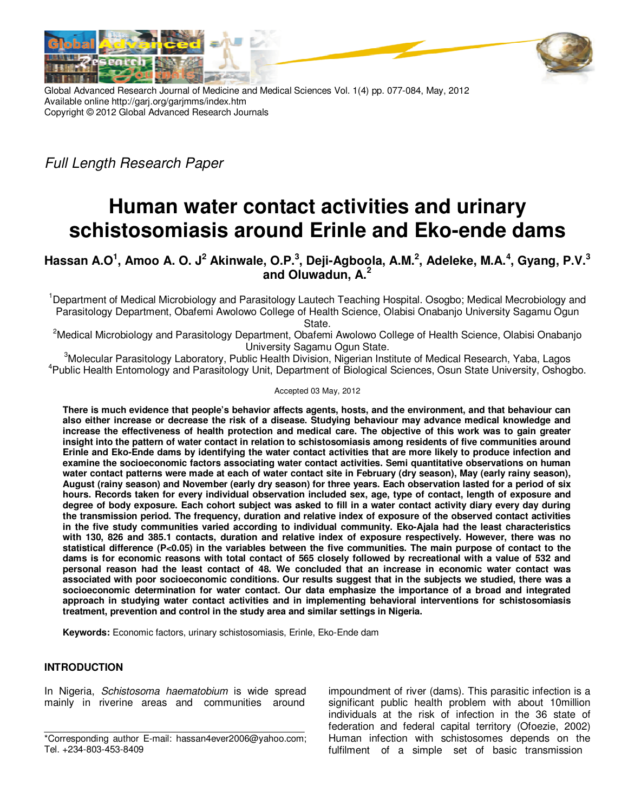



Global Advanced Research Journal of Medicine and Medical Sciences Vol. 1(4) pp. 077-084, May, 2012 Available online http://garj.org/garjmms/index.htm Copyright © 2012 Global Advanced Research Journals

Full Length Research Paper

# **Human water contact activities and urinary schistosomiasis around Erinle and Eko-ende dams**

## **Hassan A.O<sup>1</sup> , Amoo A. O. J<sup>2</sup> Akinwale, O.P.<sup>3</sup> , Deji-Agboola, A.M.<sup>2</sup> , Adeleke, M.A.<sup>4</sup> , Gyang, P.V.<sup>3</sup> and Oluwadun, A.<sup>2</sup>**

<sup>1</sup>Department of Medical Microbiology and Parasitology Lautech Teaching Hospital. Osogbo; Medical Mecrobiology and Parasitology Department, Obafemi Awolowo College of Health Science, Olabisi Onabanjo University Sagamu Ogun State.

<sup>2</sup>Medical Microbiology and Parasitology Department, Obafemi Awolowo College of Health Science, Olabisi Onabanjo University Sagamu Ogun State.

<sup>3</sup>Molecular Parasitology Laboratory, Public Health Division, Nigerian Institute of Medical Research, Yaba, Lagos <sup>4</sup>Public Health Entomology and Parasitology Unit, Department of Biological Sciences, Osun State University, Oshogbo.

Accepted 03 May, 2012

**There is much evidence that people's behavior affects agents, hosts, and the environment, and that behaviour can also either increase or decrease the risk of a disease. Studying behaviour may advance medical knowledge and increase the effectiveness of health protection and medical care. The objective of this work was to gain greater insight into the pattern of water contact in relation to schistosomiasis among residents of five communities around Erinle and Eko-Ende dams by identifying the water contact activities that are more likely to produce infection and examine the socioeconomic factors associating water contact activities. Semi quantitative observations on human water contact patterns were made at each of water contact site in February (dry season), May (early rainy season), August (rainy season) and November (early dry season) for three years. Each observation lasted for a period of six hours. Records taken for every individual observation included sex, age, type of contact, length of exposure and degree of body exposure. Each cohort subject was asked to fill in a water contact activity diary every day during the transmission period. The frequency, duration and relative index of exposure of the observed contact activities in the five study communities varied according to individual community. Eko-Ajala had the least characteristics with 130, 826 and 385.1 contacts, duration and relative index of exposure respectively. However, there was no statistical difference (P<0.05) in the variables between the five communities. The main purpose of contact to the dams is for economic reasons with total contact of 565 closely followed by recreational with a value of 532 and personal reason had the least contact of 48. We concluded that an increase in economic water contact was associated with poor socioeconomic conditions. Our results suggest that in the subjects we studied, there was a socioeconomic determination for water contact. Our data emphasize the importance of a broad and integrated approach in studying water contact activities and in implementing behavioral interventions for schistosomiasis treatment, prevention and control in the study area and similar settings in Nigeria.** 

**Keywords:** Economic factors, urinary schistosomiasis, Erinle, Eko-Ende dam

## **INTRODUCTION**

In Nigeria, Schistosoma haematobium is wide spread mainly in riverine areas and communities around

impoundment of river (dams). This parasitic infection is a significant public health problem with about 10million individuals at the risk of infection in the 36 state of federation and federal capital territory (Ofoezie, 2002) Human infection with schistosomes depends on the fulfilment of a simple set of basic transmission

<sup>\*</sup>Corresponding author E-mail: hassan4ever2006@yahoo.com; Tel. +234-803-453-8409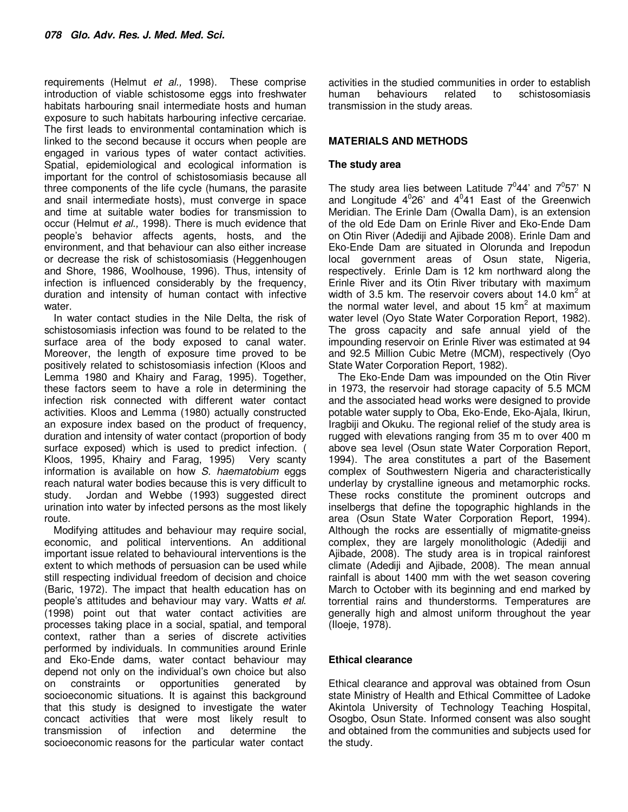requirements (Helmut et al., 1998). These comprise introduction of viable schistosome eggs into freshwater habitats harbouring snail intermediate hosts and human exposure to such habitats harbouring infective cercariae. The first leads to environmental contamination which is linked to the second because it occurs when people are engaged in various types of water contact activities. Spatial, epidemiological and ecological information is important for the control of schistosomiasis because all three components of the life cycle (humans, the parasite and snail intermediate hosts), must converge in space and time at suitable water bodies for transmission to occur (Helmut et al., 1998). There is much evidence that people's behavior affects agents, hosts, and the environment, and that behaviour can also either increase or decrease the risk of schistosomiasis (Heggenhougen and Shore, 1986, Woolhouse, 1996). Thus, intensity of infection is influenced considerably by the frequency, duration and intensity of human contact with infective water.

In water contact studies in the Nile Delta, the risk of schistosomiasis infection was found to be related to the surface area of the body exposed to canal water. Moreover, the length of exposure time proved to be positively related to schistosomiasis infection (Kloos and Lemma 1980 and Khairy and Farag, 1995). Together, these factors seem to have a role in determining the infection risk connected with different water contact activities. Kloos and Lemma (1980) actually constructed an exposure index based on the product of frequency, duration and intensity of water contact (proportion of body surface exposed) which is used to predict infection. ( Kloos, 1995, Khairy and Farag, 1995) Very scanty information is available on how S. haematobium eggs reach natural water bodies because this is very difficult to study. Jordan and Webbe (1993) suggested direct urination into water by infected persons as the most likely route.

Modifying attitudes and behaviour may require social, economic, and political interventions. An additional important issue related to behavioural interventions is the extent to which methods of persuasion can be used while still respecting individual freedom of decision and choice (Baric, 1972). The impact that health education has on people's attitudes and behaviour may vary. Watts et al. (1998) point out that water contact activities are processes taking place in a social, spatial, and temporal context, rather than a series of discrete activities performed by individuals. In communities around Erinle and Eko-Ende dams, water contact behaviour may depend not only on the individual's own choice but also on constraints or opportunities generated by socioeconomic situations. It is against this background that this study is designed to investigate the water concact activities that were most likely result to transmission of infection and determine the socioeconomic reasons for the particular water contact

activities in the studied communities in order to establish human behaviours related to schistosomiasis transmission in the study areas.

## **MATERIALS AND METHODS**

### **The study area**

The study area lies between Latitude  $7^0$ 44' and  $7^0$ 57' N and Longitude  $4^0$ 26' and  $4^0$ 41 East of the Greenwich Meridian. The Erinle Dam (Owalla Dam), is an extension of the old Ede Dam on Erinle River and Eko-Ende Dam on Otin River (Adediji and Ajibade 2008). Erinle Dam and Eko-Ende Dam are situated in Olorunda and Irepodun local government areas of Osun state, Nigeria, respectively. Erinle Dam is 12 km northward along the Erinle River and its Otin River tributary with maximum width of 3.5 km. The reservoir covers about 14.0  $km^2$  at the normal water level, and about 15  $km^2$  at maximum water level (Oyo State Water Corporation Report, 1982). The gross capacity and safe annual yield of the impounding reservoir on Erinle River was estimated at 94 and 92.5 Million Cubic Metre (MCM), respectively (Oyo State Water Corporation Report, 1982).

The Eko-Ende Dam was impounded on the Otin River in 1973, the reservoir had storage capacity of 5.5 MCM and the associated head works were designed to provide potable water supply to Oba, Eko-Ende, Eko-Ajala, Ikirun, Iragbiji and Okuku. The regional relief of the study area is rugged with elevations ranging from 35 m to over 400 m above sea level (Osun state Water Corporation Report, 1994). The area constitutes a part of the Basement complex of Southwestern Nigeria and characteristically underlay by crystalline igneous and metamorphic rocks. These rocks constitute the prominent outcrops and inselbergs that define the topographic highlands in the area (Osun State Water Corporation Report, 1994). Although the rocks are essentially of migmatite-gneiss complex, they are largely monolithologic (Adediji and Ajibade, 2008). The study area is in tropical rainforest climate (Adediji and Ajibade, 2008). The mean annual rainfall is about 1400 mm with the wet season covering March to October with its beginning and end marked by torrential rains and thunderstorms. Temperatures are generally high and almost uniform throughout the year (Iloeje, 1978).

## **Ethical clearance**

Ethical clearance and approval was obtained from Osun state Ministry of Health and Ethical Committee of Ladoke Akintola University of Technology Teaching Hospital, Osogbo, Osun State. Informed consent was also sought and obtained from the communities and subjects used for the study.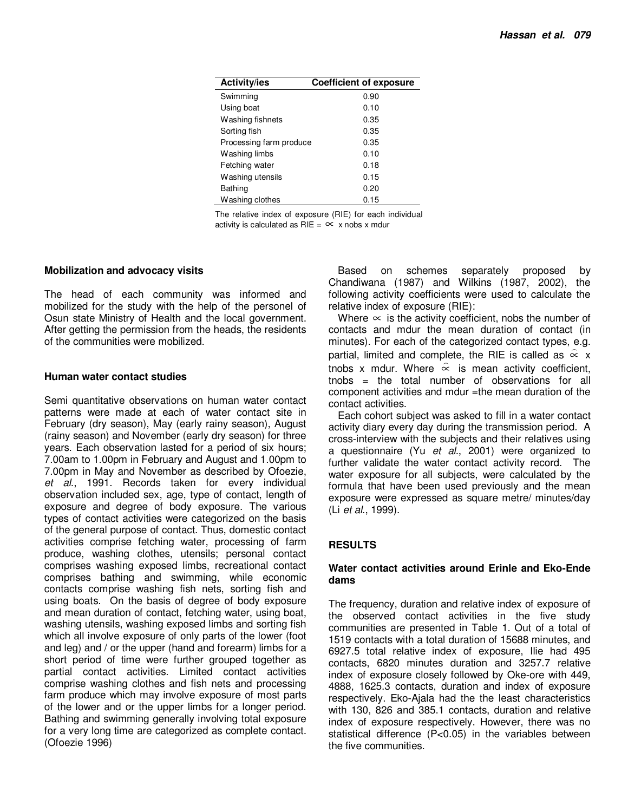| <b>Activity/ies</b>     | <b>Coefficient of exposure</b> |
|-------------------------|--------------------------------|
| Swimming                | 0.90                           |
| Using boat              | 0.10                           |
| Washing fishnets        | 0.35                           |
| Sorting fish            | 0.35                           |
| Processing farm produce | 0.35                           |
| Washing limbs           | 0.10                           |
| Fetching water          | 0.18                           |
| Washing utensils        | 0.15                           |
| <b>Bathing</b>          | 0.20                           |
| Washing clothes         | 0.15                           |

The relative index of exposure (RIE) for each individual activity is calculated as  $RIE = \infty$  x nobs x mdur

#### **Mobilization and advocacy visits**

The head of each community was informed and mobilized for the study with the help of the personel of Osun state Ministry of Health and the local government. After getting the permission from the heads, the residents of the communities were mobilized.

#### **Human water contact studies**

Semi quantitative observations on human water contact patterns were made at each of water contact site in February (dry season), May (early rainy season), August (rainy season) and November (early dry season) for three years. Each observation lasted for a period of six hours; 7.00am to 1.00pm in February and August and 1.00pm to 7.00pm in May and November as described by Ofoezie, et al., 1991. Records taken for every individual observation included sex, age, type of contact, length of exposure and degree of body exposure. The various types of contact activities were categorized on the basis of the general purpose of contact. Thus, domestic contact activities comprise fetching water, processing of farm produce, washing clothes, utensils; personal contact comprises washing exposed limbs, recreational contact comprises bathing and swimming, while economic contacts comprise washing fish nets, sorting fish and using boats. On the basis of degree of body exposure and mean duration of contact, fetching water, using boat, washing utensils, washing exposed limbs and sorting fish which all involve exposure of only parts of the lower (foot and leg) and / or the upper (hand and forearm) limbs for a short period of time were further grouped together as partial contact activities. Limited contact activities comprise washing clothes and fish nets and processing farm produce which may involve exposure of most parts of the lower and or the upper limbs for a longer period. Bathing and swimming generally involving total exposure for a very long time are categorized as complete contact. (Ofoezie 1996)

Based on schemes separately proposed by Chandiwana (1987) and Wilkins (1987, 2002), the following activity coefficients were used to calculate the relative index of exposure (RIE):

Where  $\infty$  is the activity coefficient, nobs the number of contacts and mdur the mean duration of contact (in minutes). For each of the categorized contact types, e.g. partial, limited and complete, the RIE is called as  $\hat{\infty}$  x tnobs x mdur. Where  $\stackrel{\sim}{\propto}$  is mean activity coefficient, tnobs = the total number of observations for all component activities and mdur =the mean duration of the contact activities.

Each cohort subject was asked to fill in a water contact activity diary every day during the transmission period. A cross-interview with the subjects and their relatives using a questionnaire (Yu et al., 2001) were organized to further validate the water contact activity record. The water exposure for all subjects, were calculated by the formula that have been used previously and the mean exposure were expressed as square metre/ minutes/day (Li et al., 1999).

## **RESULTS**

#### **Water contact activities around Erinle and Eko-Ende dams**

The frequency, duration and relative index of exposure of the observed contact activities in the five study communities are presented in Table 1. Out of a total of 1519 contacts with a total duration of 15688 minutes, and 6927.5 total relative index of exposure, Ilie had 495 contacts, 6820 minutes duration and 3257.7 relative index of exposure closely followed by Oke-ore with 449, 4888, 1625.3 contacts, duration and index of exposure respectively. Eko-Ajala had the the least characteristics with 130, 826 and 385.1 contacts, duration and relative index of exposure respectively. However, there was no statistical difference (P<0.05) in the variables between the five communities.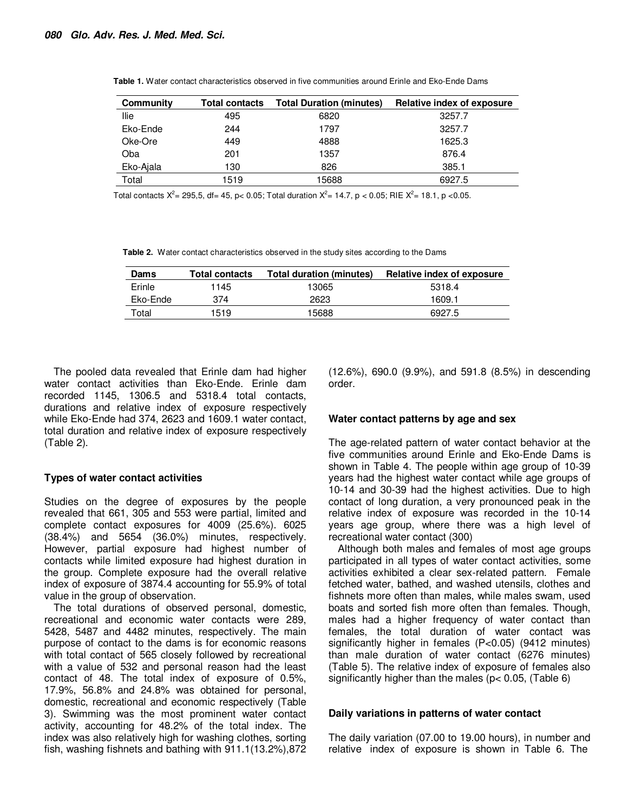| Community | <b>Total contacts</b> | <b>Total Duration (minutes)</b> | Relative index of exposure |  |  |
|-----------|-----------------------|---------------------------------|----------------------------|--|--|
| Ilie      | 495                   | 6820                            | 3257.7                     |  |  |
| Eko-Ende  | 244                   | 1797                            | 3257.7                     |  |  |
| Oke-Ore   | 449                   | 4888                            | 1625.3                     |  |  |
| Oba       | 201                   | 1357                            | 876.4                      |  |  |
| Eko-Ajala | 130                   | 826                             | 385.1                      |  |  |
| Total     | 1519                  | 15688                           | 6927.5                     |  |  |

**Table 1.** Water contact characteristics observed in five communities around Erinle and Eko-Ende Dams

Total contacts  $X^2 = 295.5$ , df= 45, p< 0.05; Total duration  $X^2 = 14.7$ , p < 0.05; RIE  $X^2 = 18.1$ , p <0.05.

**Table 2.** Water contact characteristics observed in the study sites according to the Dams

| Dams     | <b>Total contacts</b> | Total duration (minutes) | Relative index of exposure |  |
|----------|-----------------------|--------------------------|----------------------------|--|
| Erinle   | 1145                  | 13065                    | 5318.4                     |  |
| Eko-Ende | 374                   | 2623                     | 1609.1                     |  |
| Total    | 1519                  | 15688                    | 6927.5                     |  |

The pooled data revealed that Erinle dam had higher water contact activities than Eko-Ende. Erinle dam recorded 1145, 1306.5 and 5318.4 total contacts, durations and relative index of exposure respectively while Eko-Ende had 374, 2623 and 1609.1 water contact, total duration and relative index of exposure respectively (Table 2).

#### **Types of water contact activities**

Studies on the degree of exposures by the people revealed that 661, 305 and 553 were partial, limited and complete contact exposures for 4009 (25.6%). 6025 (38.4%) and 5654 (36.0%) minutes, respectively. However, partial exposure had highest number of contacts while limited exposure had highest duration in the group. Complete exposure had the overall relative index of exposure of 3874.4 accounting for 55.9% of total value in the group of observation.

The total durations of observed personal, domestic, recreational and economic water contacts were 289, 5428, 5487 and 4482 minutes, respectively. The main purpose of contact to the dams is for economic reasons with total contact of 565 closely followed by recreational with a value of 532 and personal reason had the least contact of 48. The total index of exposure of 0.5%, 17.9%, 56.8% and 24.8% was obtained for personal, domestic, recreational and economic respectively (Table 3). Swimming was the most prominent water contact activity, accounting for 48.2% of the total index. The index was also relatively high for washing clothes, sorting fish, washing fishnets and bathing with 911.1(13.2%),872

(12.6%), 690.0 (9.9%), and 591.8 (8.5%) in descending order.

#### **Water contact patterns by age and sex**

The age-related pattern of water contact behavior at the five communities around Erinle and Eko-Ende Dams is shown in Table 4. The people within age group of 10-39 years had the highest water contact while age groups of 10-14 and 30-39 had the highest activities. Due to high contact of long duration, a very pronounced peak in the relative index of exposure was recorded in the 10-14 years age group, where there was a high level of recreational water contact (300)

Although both males and females of most age groups participated in all types of water contact activities, some activities exhibited a clear sex-related pattern. Female fetched water, bathed, and washed utensils, clothes and fishnets more often than males, while males swam, used boats and sorted fish more often than females. Though, males had a higher frequency of water contact than females, the total duration of water contact was significantly higher in females (P<0.05) (9412 minutes) than male duration of water contact (6276 minutes) (Table 5). The relative index of exposure of females also significantly higher than the males (p< 0.05, (Table 6)

#### **Daily variations in patterns of water contact**

The daily variation (07.00 to 19.00 hours), in number and relative index of exposure is shown in Table 6. The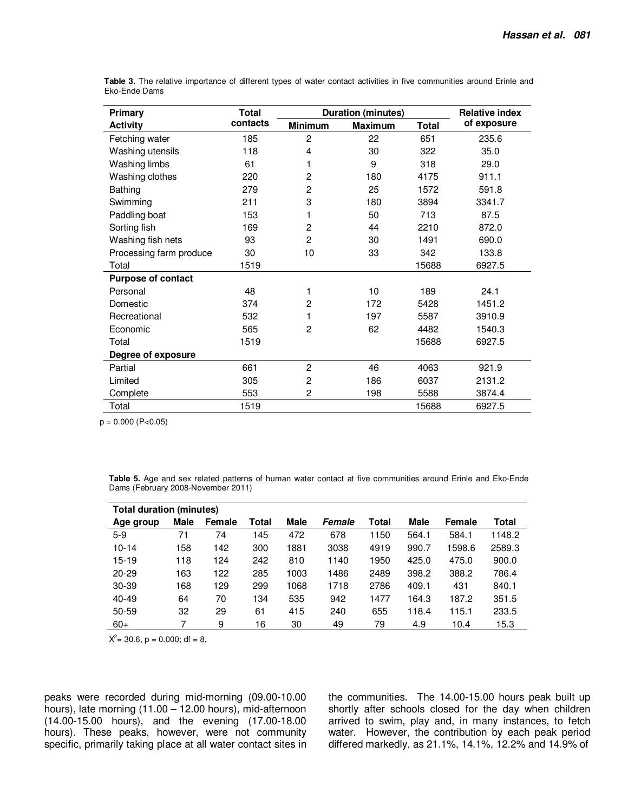| <b>Primary</b>            | <b>Total</b> | <b>Duration (minutes)</b> | <b>Relative index</b> |       |             |  |
|---------------------------|--------------|---------------------------|-----------------------|-------|-------------|--|
| <b>Activity</b>           | contacts     | <b>Minimum</b>            | <b>Maximum</b>        | Total | of exposure |  |
| Fetching water            | 185          | $\overline{c}$            | 22                    | 651   | 235.6       |  |
| Washing utensils          | 118          | 4                         | 30                    | 322   | 35.0        |  |
| Washing limbs             | 61           | 1                         | 9                     | 318   | 29.0        |  |
| Washing clothes           | 220          | $\overline{c}$            | 180                   | 4175  | 911.1       |  |
| Bathing                   | 279          | $\overline{2}$            | 25                    | 1572  | 591.8       |  |
| Swimming                  | 211          | 3                         | 180                   | 3894  | 3341.7      |  |
| Paddling boat             | 153          | 1                         | 50                    | 713   | 87.5        |  |
| Sorting fish              | 169          | $\overline{c}$            | 44                    | 2210  | 872.0       |  |
| Washing fish nets         | 93           | $\overline{c}$            | 30                    | 1491  | 690.0       |  |
| Processing farm produce   | 30           | 10                        | 33                    | 342   | 133.8       |  |
| Total                     | 1519         |                           |                       | 15688 | 6927.5      |  |
| <b>Purpose of contact</b> |              |                           |                       |       |             |  |
| Personal                  | 48           | 1                         | 10                    | 189   | 24.1        |  |
| Domestic                  | 374          | $\overline{c}$            | 172                   | 5428  | 1451.2      |  |
| Recreational              | 532          |                           | 197                   | 5587  | 3910.9      |  |
| Economic                  | 565          | $\overline{2}$            | 62                    | 4482  | 1540.3      |  |
| Total                     | 1519         |                           |                       | 15688 | 6927.5      |  |
| Degree of exposure        |              |                           |                       |       |             |  |
| Partial                   | 661          | $\overline{c}$            | 46                    | 4063  | 921.9       |  |
| Limited                   | 305          | $\overline{c}$            | 186                   | 6037  | 2131.2      |  |
| Complete                  | 553          | $\overline{c}$            | 198                   | 5588  | 3874.4      |  |
| Total                     | 1519         |                           |                       | 15688 | 6927.5      |  |

**Table 3.** The relative importance of different types of water contact activities in five communities around Erinle and Eko-Ende Dams

 $p = 0.000 (P < 0.05)$ 

**Table 5.** Age and sex related patterns of human water contact at five communities around Erinle and Eko-Ende Dams (February 2008-November 2011)

| Total duration (minutes) |             |        |       |      |        |       |       |        |        |
|--------------------------|-------------|--------|-------|------|--------|-------|-------|--------|--------|
| Age group                | <b>Male</b> | Female | Total | Male | Female | Total | Male  | Female | Total  |
| $5-9$                    | 71          | 74     | 145   | 472  | 678    | 1150  | 564.1 | 584.1  | 1148.2 |
| $10 - 14$                | 58          | 142    | 300   | 1881 | 3038   | 4919  | 990.7 | 1598.6 | 2589.3 |
| $15 - 19$                | 118         | 124    | 242   | 810  | 1140   | 1950  | 425.0 | 475.0  | 900.0  |
| $20 - 29$                | 163         | 122    | 285   | 1003 | 1486   | 2489  | 398.2 | 388.2  | 786.4  |
| $30 - 39$                | 168         | 129    | 299   | 1068 | 1718   | 2786  | 409.1 | 431    | 840.1  |
| $40 - 49$                | 64          | 70     | 134   | 535  | 942    | 1477  | 164.3 | 187.2  | 351.5  |
| 50-59                    | 32          | 29     | 61    | 415  | 240    | 655   | 118.4 | 115.1  | 233.5  |
| $60+$                    |             | 9      | 16    | 30   | 49     | 79    | 4.9   | 10.4   | 15.3   |

 $X^2 = 30.6$ , p = 0.000; df = 8,

peaks were recorded during mid-morning (09.00-10.00 hours), late morning (11.00 – 12.00 hours), mid-afternoon (14.00-15.00 hours), and the evening (17.00-18.00 hours). These peaks, however, were not community specific, primarily taking place at all water contact sites in the communities. The 14.00-15.00 hours peak built up shortly after schools closed for the day when children arrived to swim, play and, in many instances, to fetch water. However, the contribution by each peak period differed markedly, as 21.1%, 14.1%, 12.2% and 14.9% of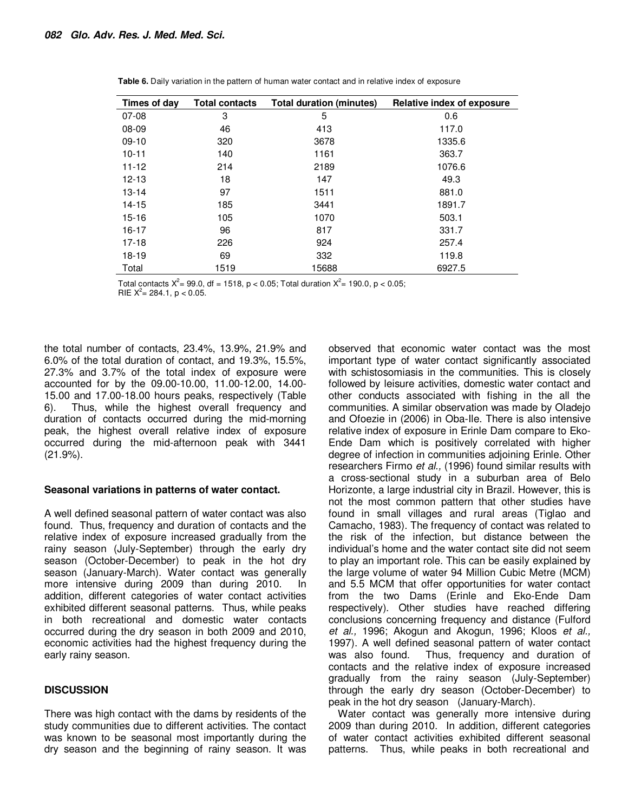| Times of day | <b>Total contacts</b> | <b>Total duration (minutes)</b> | Relative index of exposure |
|--------------|-----------------------|---------------------------------|----------------------------|
| $07-08$      | 3                     | 5                               | 0.6                        |
| 08-09        | 46                    | 413                             | 117.0                      |
| $09-10$      | 320                   | 3678                            | 1335.6                     |
| $10 - 11$    | 140                   | 1161                            | 363.7                      |
| $11 - 12$    | 214                   | 2189                            | 1076.6                     |
| $12 - 13$    | 18                    | 147                             | 49.3                       |
| $13 - 14$    | 97                    | 1511                            | 881.0                      |
| $14 - 15$    | 185                   | 3441                            | 1891.7                     |
| $15 - 16$    | 105                   | 1070                            | 503.1                      |
| $16 - 17$    | 96                    | 817                             | 331.7                      |
| $17 - 18$    | 226                   | 924                             | 257.4                      |
| $18 - 19$    | 69                    | 332                             | 119.8                      |
| Total        | 1519                  | 15688                           | 6927.5                     |

**Table 6.** Daily variation in the pattern of human water contact and in relative index of exposure

Total contacts  $X^2 = 99.0$ , df = 1518, p < 0.05; Total duration  $X^2 = 190.0$ , p < 0.05;

RIE  $X^2 = 284.1$ , p < 0.05.

the total number of contacts, 23.4%, 13.9%, 21.9% and 6.0% of the total duration of contact, and 19.3%, 15.5%, 27.3% and 3.7% of the total index of exposure were accounted for by the 09.00-10.00, 11.00-12.00, 14.00- 15.00 and 17.00-18.00 hours peaks, respectively (Table 6). Thus, while the highest overall frequency and duration of contacts occurred during the mid-morning peak, the highest overall relative index of exposure occurred during the mid-afternoon peak with 3441 (21.9%).

#### **Seasonal variations in patterns of water contact.**

A well defined seasonal pattern of water contact was also found. Thus, frequency and duration of contacts and the relative index of exposure increased gradually from the rainy season (July-September) through the early dry season (October-December) to peak in the hot dry season (January-March). Water contact was generally more intensive during 2009 than during 2010. In addition, different categories of water contact activities exhibited different seasonal patterns. Thus, while peaks in both recreational and domestic water contacts occurred during the dry season in both 2009 and 2010, economic activities had the highest frequency during the early rainy season.

#### **DISCUSSION**

There was high contact with the dams by residents of the study communities due to different activities. The contact was known to be seasonal most importantly during the dry season and the beginning of rainy season. It was

observed that economic water contact was the most important type of water contact significantly associated with schistosomiasis in the communities. This is closely followed by leisure activities, domestic water contact and other conducts associated with fishing in the all the communities. A similar observation was made by Oladejo and Ofoezie in (2006) in Oba-Ile. There is also intensive relative index of exposure in Erinle Dam compare to Eko-Ende Dam which is positively correlated with higher degree of infection in communities adjoining Erinle. Other researchers Firmo et al., (1996) found similar results with a cross-sectional study in a suburban area of Belo Horizonte, a large industrial city in Brazil. However, this is not the most common pattern that other studies have found in small villages and rural areas (Tiglao and Camacho, 1983). The frequency of contact was related to the risk of the infection, but distance between the individual's home and the water contact site did not seem to play an important role. This can be easily explained by the large volume of water 94 Million Cubic Metre (MCM) and 5.5 MCM that offer opportunities for water contact from the two Dams (Erinle and Eko-Ende Dam respectively). Other studies have reached differing conclusions concerning frequency and distance (Fulford et al., 1996; Akogun and Akogun, 1996; Kloos et al., 1997). A well defined seasonal pattern of water contact was also found. Thus, frequency and duration of contacts and the relative index of exposure increased gradually from the rainy season (July-September) through the early dry season (October-December) to peak in the hot dry season (January-March).

Water contact was generally more intensive during 2009 than during 2010. In addition, different categories of water contact activities exhibited different seasonal patterns. Thus, while peaks in both recreational and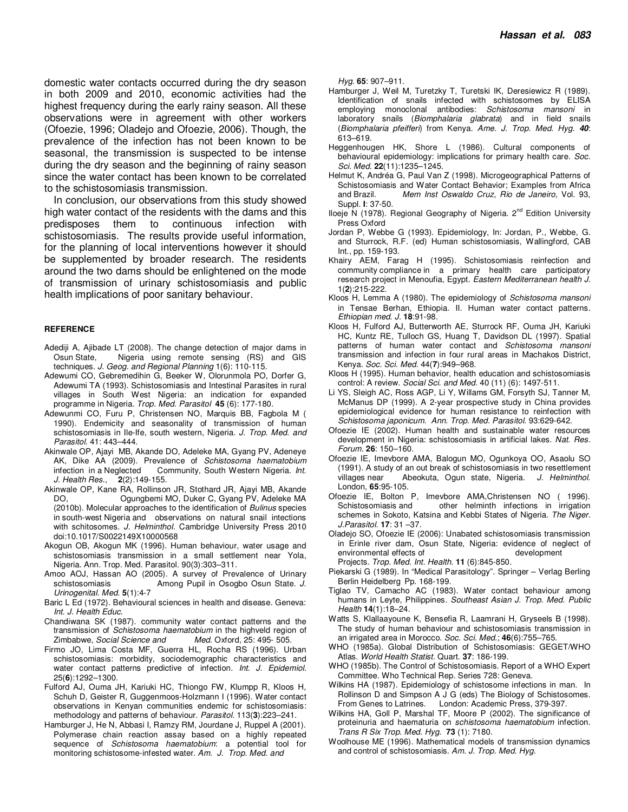domestic water contacts occurred during the dry season in both 2009 and 2010, economic activities had the highest frequency during the early rainy season. All these observations were in agreement with other workers (Ofoezie, 1996; Oladejo and Ofoezie, 2006). Though, the prevalence of the infection has not been known to be seasonal, the transmission is suspected to be intense during the dry season and the beginning of rainy season since the water contact has been known to be correlated to the schistosomiasis transmission.

In conclusion, our observations from this study showed high water contact of the residents with the dams and this predisposes them to continuous infection with schistosomiasis. The results provide useful information, for the planning of local interventions however it should be supplemented by broader research. The residents around the two dams should be enlightened on the mode of transmission of urinary schistosomiasis and public health implications of poor sanitary behaviour.

#### **REFERENCE**

- Adediji A, Ajibade LT (2008). The change detection of major dams in Osun State, Nigeria using remote sensing (RS) and GIS techniques. J. Geog. and Regional Planning 1(6): 110-115.
- Adewumi CO, Gebremedihin G, Beeker W, Olorunmola PO, Dorfer G, Adewumi TA (1993). Schistosomiasis and Intestinal Parasites in rural villages in South West Nigeria: an indication for expanded programme in Nigeria. Trop. Med. Parasitol **45** (6): 177-180.
- Adewunmi CO, Furu P, Christensen NO, Marquis BB, Fagbola M ( 1990). Endemicity and seasonality of transmission of human schistosomiasis in Ile-Ife, south western, Nigeria. J. Trop. Med. and Parasitol. 41: 443–444.
- Akinwale OP, Ajayi MB, Akande DO, Adeleke MA, Gyang PV, Adeneye AK, Dike AA (2009). Prevalence of Schistosoma haematobium infection in a Neglected Community, South Western Nigeria. Int. J. Health Res., **2**(2):149-155.
- Akinwale OP, Kane RA, Rollinson JR, Stothard JR, Ajayi MB, Akande DO, Ogungbemi MO, Duker C, Gyang PV, Adeleke MA (2010b). Molecular approaches to the identification of Bulinus species in south-west Nigeria and observations on natural snail intections with schitosomes. J. Helminthol. Cambridge University Press 2010 doi:10.1017/S0022149X10000568
- Akogun OB, Akogun MK (1996). Human behaviour, water usage and schistosomiasis transmission in a small settlement near Yola, Nigeria. Ann. Trop. Med. Parasitol. 90(3):303–311.
- Amoo AOJ, Hassan AO (2005). A survey of Prevalence of Urinary schistosomiasis **Among Pupil in Osogbo Osun State.** J. Urinogenital. Med. **5**(1):4-7
- Baric L Ed (1972). Behavioural sciences in health and disease. Geneva: Int. J. Health Educ.
- Chandiwana SK (1987). community water contact patterns and the transmission of Schistosoma haematobium in the highveld region of Zimbabwe, Social Science and Med. Oxford, 25: 495- 505.
- Firmo JO, Lima Costa MF, Guerra HL, Rocha RS (1996). Urban schistosomiasis: morbidity, sociodemographic characteristics and water contact patterns predictive of infection. Int. J. Epidemiol. 25(**6**):1292–1300.
- Fulford AJ, Ouma JH, Kariuki HC, Thiongo FW, Klumpp R, Kloos H, Schuh D, Geister R, Guggenmoos-Holzmann I (1996). Water contact observations in Kenyan communities endemic for schistosomiasis: methodology and patterns of behaviour. Parasitol. 113(**3**):223–241.
- Hamburger J, He N, Abbasi I, Ramzy RM, Jourdane J, Ruppel A (2001). Polymerase chain reaction assay based on a highly repeated sequence of Schistosoma haematobium: a potential tool for monitoring schistosome-infested water. Am. J. Trop. Med. and

Hyg. **65**: 907–911.

- Hamburger J, Weil M, Turetzky T, Turetski IK, Deresiewicz R (1989). Identification of snails infected with schistosomes by ELISA employing monoclonal antibodies: Schistosoma mansoni in laboratory snails (Biomphalaria glabrata) and in field snails (Biomphalaria pfeifferi) from Kenya. Ame. J. Trop. Med. Hyg. **40**: 613–619.
- Heggenhougen HK, Shore L (1986). Cultural components of behavioural epidemiology: implications for primary health care. Soc. Sci. Med. **22**(11):1235–1245.
- Helmut K, Andréa G, Paul Van Z (1998). Microgeographical Patterns of Schistosomiasis and Water Contact Behavior; Examples from Africa and Brazil.Mem Inst Oswaldo Cruz, Rio de Janeiro, Vol. 93, Suppl. **I**: 37-50.
- Iloeje N (1978). Regional Geography of Nigeria. 2<sup>nd</sup> Edition University Press Oxford
- Jordan P, Webbe G (1993). Epidemiology, In: Jordan, P., Webbe, G. and Sturrock, R.F. (ed) Human schistosomiasis, Wallingford, CAB Int., pp. 159-193.
- Khairy AEM, Farag H (1995). Schistosomiasis reinfection and community compliance in a primary health care participatory research project in Menoufia, Egypt. Eastern Mediterranean health J. 1(**2**):215-222.
- Kloos H, Lemma A (1980). The epidemiology of Schistosoma mansoni in Tensae Berhan, Ethiopia. II. Human water contact patterns. Ethiopian med. J. **18**:91-98.
- Kloos H, Fulford AJ, Butterworth AE, Sturrock RF, Ouma JH, Kariuki HC, Kuntz RE, Tulloch GS, Huang T, Davidson DL (1997). Spatial patterns of human water contact and Schistosoma mansoni transmission and infection in four rural areas in Machakos District, Kenya. Soc. Sci. Med. 44(**7**):949–968.
- Kloos H (1995). Human behavior, health education and schistosomiasis control: A review. Social Sci. and Med. 40 (11) (6): 1497-511.
- Li YS, Sleigh AC, Ross AGP, Li Y, Willams GM, Forsyth SJ, Tanner M, McManus DP (1999). A 2-year prospective study in China provides epidemiological evidence for human resistance to reinfection with Schistosoma japonicum. Ann. Trop. Med. Parasitol. 93:629-642.
- Ofoezie IE (2002). Human health and sustainable water resources development in Nigeria: schistosomiasis in artificial lakes. Nat. Res. Forum. **26**: 150–160.
- Ofoezie IE, Imevbore AMA, Balogun MO, Ogunkoya OO, Asaolu SO (1991). A study of an out break of schistosomiasis in two resettlement villages near Abeokuta, Ogun state, Nigeria. J. Helminthol. London, **65**:95-105.
- Ofoezie IE, Bolton P, Imevbore AMA,Christensen NO ( 1996). Schistosomiasis and other helminth infections in irrigation schemes in Sokoto, Katsina and Kebbi States of Nigeria. The Niger. J.Parasitol. **17**: 31 –37.
- Oladejo SO, Ofoezie IE (2006): Unabated schistosomiasis transmission in Erinle river dam, Osun State, Nigeria: evidence of neglect of environmental effects of

Projects. Trop. Med. Int. Health. **11** (6):845-850.

- Piekarski G (1989). In "Medical Parasitology". Springer Verlag Berling Berlin Heidelberg Pp. 168-199.
- Tiglao TV, Camacho AC (1983). Water contact behaviour among humans in Leyte, Philippines. Southeast Asian J. Trop. Med. Public Health **14**(1):18–24.
- Watts S, Klallaayoune K, Bensefia R, Laamrani H, Gryseels B (1998). The study of human behaviour and schistosomiasis transmission in an irrigated area in Morocco. Soc. Sci. Med.; **46**(6):755–765.
- WHO (1985a). Global Distribution of Schistosomiasis: GEGET/WHO Atlas. World Health Statist. Quart. **37**: 186-199.
- WHO (1985b). The Control of Schistosomiasis. Report of a WHO Expert Committee. Who Technical Rep. Series 728: Geneva.
- Wilkins HA (1987). Epidemiology of schistosome infections in man. In Rollinson D and Simpson A J G (eds) The Biology of Schistosomes. From Genes to Latrines. London: Academic Press, 379-397.
- Wilkins HA, Goll P, Marshal TF, Moore P (2002). The significance of proteinuria and haematuria on schistosoma haematobium infection. Trans R Six Trop. Med. Hyg. **73** (1): 7180.
- Woolhouse ME (1996). Mathematical models of transmission dynamics and control of schistosomiasis. Am. J. Trop. Med. Hyg.